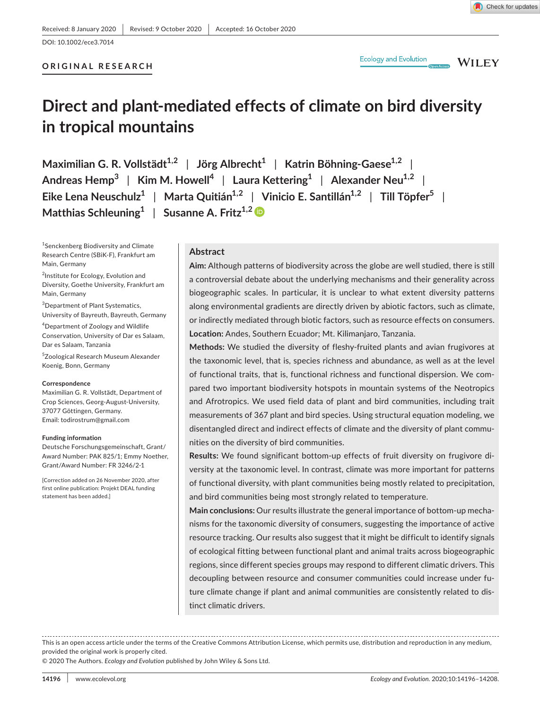DOI: 10.1002/ece3.7014

# **ORIGINAL RESEARCH**

**Ecology and Evolution** 

**WILEY** 

# **Direct and plant-mediated effects of climate on bird diversity in tropical mountains**

**Maximilian G. R. Vollstädt**<sup>1,2</sup> | **Jörg Albrecht**<sup>1</sup> | **Katrin Böhning-Gaese**<sup>1,2</sup> | **Andreas Hemp3** | **Kim M. Howell<sup>4</sup>** | **Laura Kettering1** | **Alexander Neu1,2** | **Eike Lena Neuschulz1** | **Marta Quitián1,2** | **Vinicio E. Santillán1,2** | **Till Töpfer5** | **Matthias Schleuning<sup>1</sup> | Susanne A. Fritz<sup>1,2</sup>** 

<sup>1</sup>Senckenberg Biodiversity and Climate Research Centre (SBiK-F), Frankfurt am Main, Germany

<sup>2</sup>Institute for Ecology, Evolution and Diversity, Goethe University, Frankfurt am Main, Germany

3 Department of Plant Systematics, University of Bayreuth, Bayreuth, Germany

4 Department of Zoology and Wildlife Conservation, University of Dar es Salaam, Dar es Salaam, Tanzania

5 Zoological Research Museum Alexander Koenig, Bonn, Germany

#### **Correspondence**

Maximilian G. R. Vollstädt, Department of Crop Sciences, Georg-August-University, 37077 Göttingen, Germany. Email: [todirostrum@gmail.com](mailto:todirostrum@gmail.com)

#### **Funding information**

Deutsche Forschungsgemeinschaft, Grant/ Award Number: PAK 825/1; Emmy Noether, Grant/Award Number: FR 3246/2-1

[Correction added on 26 November 2020, after first online publication: Projekt DEAL funding statement has been added.]

#### **Abstract**

**Aim:** Although patterns of biodiversity across the globe are well studied, there is still a controversial debate about the underlying mechanisms and their generality across biogeographic scales. In particular, it is unclear to what extent diversity patterns along environmental gradients are directly driven by abiotic factors, such as climate, or indirectly mediated through biotic factors, such as resource effects on consumers. **Location:** Andes, Southern Ecuador; Mt. Kilimanjaro, Tanzania.

**Methods:** We studied the diversity of fleshy-fruited plants and avian frugivores at the taxonomic level, that is, species richness and abundance, as well as at the level of functional traits, that is, functional richness and functional dispersion. We compared two important biodiversity hotspots in mountain systems of the Neotropics and Afrotropics. We used field data of plant and bird communities, including trait measurements of 367 plant and bird species. Using structural equation modeling, we disentangled direct and indirect effects of climate and the diversity of plant communities on the diversity of bird communities.

**Results:** We found significant bottom-up effects of fruit diversity on frugivore diversity at the taxonomic level. In contrast, climate was more important for patterns of functional diversity, with plant communities being mostly related to precipitation, and bird communities being most strongly related to temperature.

**Main conclusions:** Our results illustrate the general importance of bottom-up mechanisms for the taxonomic diversity of consumers, suggesting the importance of active resource tracking. Our results also suggest that it might be difficult to identify signals of ecological fitting between functional plant and animal traits across biogeographic regions, since different species groups may respond to different climatic drivers. This decoupling between resource and consumer communities could increase under future climate change if plant and animal communities are consistently related to distinct climatic drivers.

This is an open access article under the terms of the [Creative Commons Attribution](http://creativecommons.org/licenses/by/4.0/) License, which permits use, distribution and reproduction in any medium, provided the original work is properly cited.

© 2020 The Authors. *Ecology and Evolution* published by John Wiley & Sons Ltd.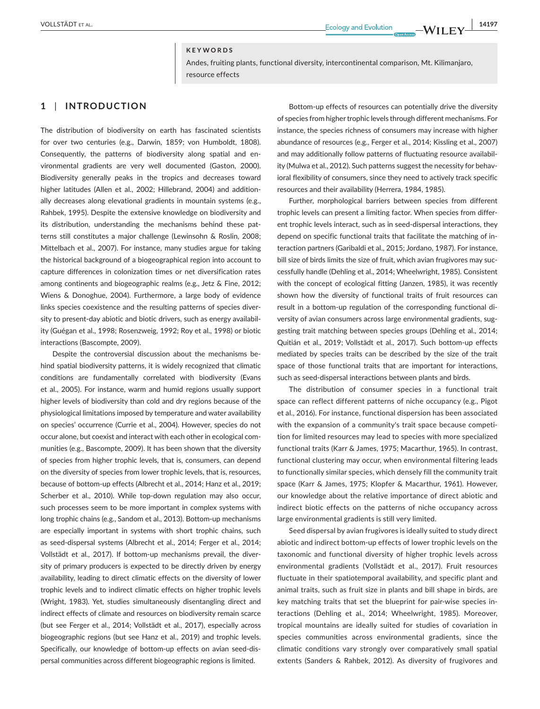# **KEYWORDS**

Andes, fruiting plants, functional diversity, intercontinental comparison, Mt. Kilimanjaro, resource effects

# **1** | **INTRODUCTION**

The distribution of biodiversity on earth has fascinated scientists for over two centuries (e.g., Darwin, 1859; von Humboldt, 1808). Consequently, the patterns of biodiversity along spatial and environmental gradients are very well documented (Gaston, 2000). Biodiversity generally peaks in the tropics and decreases toward higher latitudes (Allen et al., 2002; Hillebrand, 2004) and additionally decreases along elevational gradients in mountain systems (e.g., Rahbek, 1995). Despite the extensive knowledge on biodiversity and its distribution, understanding the mechanisms behind these patterns still constitutes a major challenge (Lewinsohn & Roslin, 2008; Mittelbach et al., 2007). For instance, many studies argue for taking the historical background of a biogeographical region into account to capture differences in colonization times or net diversification rates among continents and biogeographic realms (e.g., Jetz & Fine, 2012; Wiens & Donoghue, 2004). Furthermore, a large body of evidence links species coexistence and the resulting patterns of species diversity to present-day abiotic and biotic drivers, such as energy availability (Guégan et al., 1998; Rosenzweig, 1992; Roy et al., 1998) or biotic interactions (Bascompte, 2009).

Despite the controversial discussion about the mechanisms behind spatial biodiversity patterns, it is widely recognized that climatic conditions are fundamentally correlated with biodiversity (Evans et al., 2005). For instance, warm and humid regions usually support higher levels of biodiversity than cold and dry regions because of the physiological limitations imposed by temperature and water availability on species' occurrence (Currie et al., 2004). However, species do not occur alone, but coexist and interact with each other in ecological communities (e.g., Bascompte, 2009). It has been shown that the diversity of species from higher trophic levels, that is, consumers, can depend on the diversity of species from lower trophic levels, that is, resources, because of bottom-up effects (Albrecht et al., 2014; Hanz et al., 2019; Scherber et al., 2010). While top-down regulation may also occur, such processes seem to be more important in complex systems with long trophic chains (e.g., Sandom et al., 2013). Bottom-up mechanisms are especially important in systems with short trophic chains, such as seed-dispersal systems (Albrecht et al., 2014; Ferger et al., 2014; Vollstädt et al., 2017). If bottom-up mechanisms prevail, the diversity of primary producers is expected to be directly driven by energy availability, leading to direct climatic effects on the diversity of lower trophic levels and to indirect climatic effects on higher trophic levels (Wright, 1983). Yet, studies simultaneously disentangling direct and indirect effects of climate and resources on biodiversity remain scarce (but see Ferger et al., 2014; Vollstädt et al., 2017), especially across biogeographic regions (but see Hanz et al., 2019) and trophic levels. Specifically, our knowledge of bottom-up effects on avian seed-dispersal communities across different biogeographic regions is limited.

Bottom-up effects of resources can potentially drive the diversity of species from higher trophic levels through different mechanisms. For instance, the species richness of consumers may increase with higher abundance of resources (e.g., Ferger et al., 2014; Kissling et al., 2007) and may additionally follow patterns of fluctuating resource availability (Mulwa et al., 2012). Such patterns suggest the necessity for behavioral flexibility of consumers, since they need to actively track specific resources and their availability (Herrera, 1984, 1985).

Further, morphological barriers between species from different trophic levels can present a limiting factor. When species from different trophic levels interact, such as in seed-dispersal interactions, they depend on specific functional traits that facilitate the matching of interaction partners (Garibaldi et al., 2015; Jordano, 1987). For instance, bill size of birds limits the size of fruit, which avian frugivores may successfully handle (Dehling et al., 2014; Wheelwright, 1985). Consistent with the concept of ecological fitting (Janzen, 1985), it was recently shown how the diversity of functional traits of fruit resources can result in a bottom-up regulation of the corresponding functional diversity of avian consumers across large environmental gradients, suggesting trait matching between species groups (Dehling et al., 2014; Quitián et al., 2019; Vollstädt et al., 2017). Such bottom-up effects mediated by species traits can be described by the size of the trait space of those functional traits that are important for interactions, such as seed-dispersal interactions between plants and birds.

The distribution of consumer species in a functional trait space can reflect different patterns of niche occupancy (e.g., Pigot et al., 2016). For instance, functional dispersion has been associated with the expansion of a community's trait space because competition for limited resources may lead to species with more specialized functional traits (Karr & James, 1975; Macarthur, 1965). In contrast, functional clustering may occur, when environmental filtering leads to functionally similar species, which densely fill the community trait space (Karr & James, 1975; Klopfer & Macarthur, 1961). However, our knowledge about the relative importance of direct abiotic and indirect biotic effects on the patterns of niche occupancy across large environmental gradients is still very limited.

Seed dispersal by avian frugivores is ideally suited to study direct abiotic and indirect bottom-up effects of lower trophic levels on the taxonomic and functional diversity of higher trophic levels across environmental gradients (Vollstädt et al., 2017). Fruit resources fluctuate in their spatiotemporal availability, and specific plant and animal traits, such as fruit size in plants and bill shape in birds, are key matching traits that set the blueprint for pair-wise species interactions (Dehling et al., 2014; Wheelwright, 1985). Moreover, tropical mountains are ideally suited for studies of covariation in species communities across environmental gradients, since the climatic conditions vary strongly over comparatively small spatial extents (Sanders & Rahbek, 2012). As diversity of frugivores and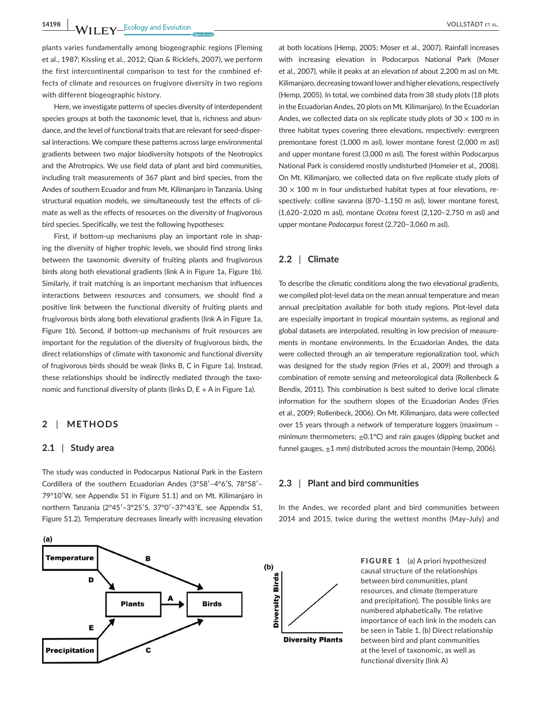**14198 WII FY** Ecology and Evolution *COLLSTADT ET AL.* 

plants varies fundamentally among biogeographic regions (Fleming et al., 1987; Kissling et al., 2012; Qian & Ricklefs, 2007), we perform the first intercontinental comparison to test for the combined effects of climate and resources on frugivore diversity in two regions with different biogeographic history.

Here, we investigate patterns of species diversity of interdependent species groups at both the taxonomic level, that is, richness and abundance, and the level of functional traits that are relevant for seed-dispersal interactions. We compare these patterns across large environmental gradients between two major biodiversity hotspots of the Neotropics and the Afrotropics. We use field data of plant and bird communities, including trait measurements of 367 plant and bird species, from the Andes of southern Ecuador and from Mt. Kilimanjaro in Tanzania. Using structural equation models, we simultaneously test the effects of climate as well as the effects of resources on the diversity of frugivorous bird species. Specifically, we test the following hypotheses:

First, if bottom-up mechanisms play an important role in shaping the diversity of higher trophic levels, we should find strong links between the taxonomic diversity of fruiting plants and frugivorous birds along both elevational gradients (link A in Figure 1a, Figure 1b). Similarly, if trait matching is an important mechanism that influences interactions between resources and consumers, we should find a positive link between the functional diversity of fruiting plants and frugivorous birds along both elevational gradients (link A in Figure 1a, Figure 1b). Second, if bottom-up mechanisms of fruit resources are important for the regulation of the diversity of frugivorous birds, the direct relationships of climate with taxonomic and functional diversity of frugivorous birds should be weak (links B, C in Figure 1a). Instead, these relationships should be indirectly mediated through the taxonomic and functional diversity of plants (links  $D, E + A$  in Figure 1a).

## **2** | **METHODS**

#### **2.1** | **Study area**

The study was conducted in Podocarpus National Park in the Eastern Cordillera of the southern Ecuadorian Andes (3°58′–4°6′S, 78°58′– 79°10′W, see Appendix S1 in Figure S1.1) and on Mt. Kilimanjaro in northern Tanzania (2°45′–3°25′S, 37°0′–37°43′E, see Appendix S1, Figure S1.2). Temperature decreases linearly with increasing elevation



at both locations (Hemp, 2005; Moser et al., 2007). Rainfall increases with increasing elevation in Podocarpus National Park (Moser et al., 2007), while it peaks at an elevation of about 2,200 m asl on Mt. Kilimanjaro, decreasing toward lower and higher elevations, respectively (Hemp, 2005). In total, we combined data from 38 study plots (18 plots in the Ecuadorian Andes, 20 plots on Mt. Kilimanjaro). In the Ecuadorian Andes, we collected data on six replicate study plots of  $30 \times 100$  m in three habitat types covering three elevations, respectively: evergreen premontane forest (1,000 m asl), lower montane forest (2,000 m asl) and upper montane forest (3,000 m asl). The forest within Podocarpus National Park is considered mostly undisturbed (Homeier et al., 2008). On Mt. Kilimanjaro, we collected data on five replicate study plots of  $30 \times 100$  m in four undisturbed habitat types at four elevations, respectively: colline savanna (870–1,150 m asl), lower montane forest, (1,620–2,020 m asl), montane *Ocotea* forest (2,120–2,750 m asl) and upper montane *Podocarpus* forest (2,720–3,060 m asl).

# **2.2** | **Climate**

To describe the climatic conditions along the two elevational gradients, we compiled plot-level data on the mean annual temperature and mean annual precipitation available for both study regions. Plot-level data are especially important in tropical mountain systems, as regional and global datasets are interpolated, resulting in low precision of measurements in montane environments. In the Ecuadorian Andes, the data were collected through an air temperature regionalization tool, which was designed for the study region (Fries et al., 2009) and through a combination of remote sensing and meteorological data (Rollenbeck & Bendix, 2011). This combination is best suited to derive local climate information for the southern slopes of the Ecuadorian Andes (Fries et al., 2009; Rollenbeck, 2006). On Mt. Kilimanjaro, data were collected over 15 years through a network of temperature loggers (maximum – minimum thermometers;  $\pm$ 0.1°C) and rain gauges (dipping bucket and funnel gauges,  $\pm 1$  mm) distributed across the mountain (Hemp, 2006).

# **2.3** | **Plant and bird communities**

In the Andes, we recorded plant and bird communities between 2014 and 2015, twice during the wettest months (May–July) and

> **FIGURE 1** (a) A priori hypothesized causal structure of the relationships between bird communities, plant resources, and climate (temperature and precipitation). The possible links are numbered alphabetically. The relative importance of each link in the models can be seen in Table 1. (b) Direct relationship between bird and plant communities at the level of taxonomic, as well as functional diversity (link A)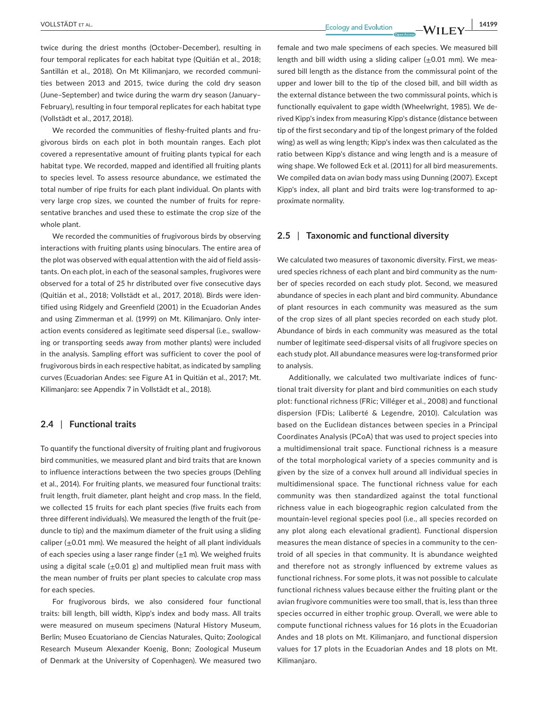twice during the driest months (October–December), resulting in four temporal replicates for each habitat type (Quitián et al., 2018; Santillán et al., 2018). On Mt Kilimanjaro, we recorded communities between 2013 and 2015, twice during the cold dry season (June–September) and twice during the warm dry season (January– February), resulting in four temporal replicates for each habitat type (Vollstädt et al., 2017, 2018).

We recorded the communities of fleshy-fruited plants and frugivorous birds on each plot in both mountain ranges. Each plot covered a representative amount of fruiting plants typical for each habitat type. We recorded, mapped and identified all fruiting plants to species level. To assess resource abundance, we estimated the total number of ripe fruits for each plant individual. On plants with very large crop sizes, we counted the number of fruits for representative branches and used these to estimate the crop size of the whole plant.

We recorded the communities of frugivorous birds by observing interactions with fruiting plants using binoculars. The entire area of the plot was observed with equal attention with the aid of field assistants. On each plot, in each of the seasonal samples, frugivores were observed for a total of 25 hr distributed over five consecutive days (Quitián et al., 2018; Vollstädt et al., 2017, 2018). Birds were identified using Ridgely and Greenfield (2001) in the Ecuadorian Andes and using Zimmerman et al. (1999) on Mt. Kilimanjaro. Only interaction events considered as legitimate seed dispersal (i.e., swallowing or transporting seeds away from mother plants) were included in the analysis. Sampling effort was sufficient to cover the pool of frugivorous birds in each respective habitat, as indicated by sampling curves (Ecuadorian Andes: see Figure A1 in Quitián et al., 2017; Mt. Kilimanjaro: see Appendix 7 in Vollstädt et al., 2018).

## **2.4** | **Functional traits**

To quantify the functional diversity of fruiting plant and frugivorous bird communities, we measured plant and bird traits that are known to influence interactions between the two species groups (Dehling et al., 2014). For fruiting plants, we measured four functional traits: fruit length, fruit diameter, plant height and crop mass. In the field, we collected 15 fruits for each plant species (five fruits each from three different individuals). We measured the length of the fruit (peduncle to tip) and the maximum diameter of the fruit using a sliding caliper  $(\pm 0.01$  mm). We measured the height of all plant individuals of each species using a laser range finder  $(\pm 1 \text{ m})$ . We weighed fruits using a digital scale  $(\pm 0.01 \text{ g})$  and multiplied mean fruit mass with the mean number of fruits per plant species to calculate crop mass for each species.

For frugivorous birds, we also considered four functional traits: bill length, bill width, Kipp's index and body mass. All traits were measured on museum specimens (Natural History Museum, Berlin; Museo Ecuatoriano de Ciencias Naturales, Quito; Zoological Research Museum Alexander Koenig, Bonn; Zoological Museum of Denmark at the University of Copenhagen). We measured two

female and two male specimens of each species. We measured bill length and bill width using a sliding caliper  $(\pm 0.01$  mm). We measured bill length as the distance from the commissural point of the upper and lower bill to the tip of the closed bill, and bill width as the external distance between the two commissural points, which is functionally equivalent to gape width (Wheelwright, 1985). We derived Kipp's index from measuring Kipp's distance (distance between tip of the first secondary and tip of the longest primary of the folded wing) as well as wing length; Kipp's index was then calculated as the ratio between Kipp's distance and wing length and is a measure of wing shape. We followed Eck et al. (2011) for all bird measurements. We compiled data on avian body mass using Dunning (2007). Except Kipp's index, all plant and bird traits were log-transformed to approximate normality.

## **2.5** | **Taxonomic and functional diversity**

We calculated two measures of taxonomic diversity. First, we measured species richness of each plant and bird community as the number of species recorded on each study plot. Second, we measured abundance of species in each plant and bird community. Abundance of plant resources in each community was measured as the sum of the crop sizes of all plant species recorded on each study plot. Abundance of birds in each community was measured as the total number of legitimate seed-dispersal visits of all frugivore species on each study plot. All abundance measures were log-transformed prior to analysis.

Additionally, we calculated two multivariate indices of functional trait diversity for plant and bird communities on each study plot: functional richness (FRic; Villéger et al., 2008) and functional dispersion (FDis; Laliberté & Legendre, 2010). Calculation was based on the Euclidean distances between species in a Principal Coordinates Analysis (PCoA) that was used to project species into a multidimensional trait space. Functional richness is a measure of the total morphological variety of a species community and is given by the size of a convex hull around all individual species in multidimensional space. The functional richness value for each community was then standardized against the total functional richness value in each biogeographic region calculated from the mountain-level regional species pool (i.e., all species recorded on any plot along each elevational gradient). Functional dispersion measures the mean distance of species in a community to the centroid of all species in that community. It is abundance weighted and therefore not as strongly influenced by extreme values as functional richness. For some plots, it was not possible to calculate functional richness values because either the fruiting plant or the avian frugivore communities were too small, that is, less than three species occurred in either trophic group. Overall, we were able to compute functional richness values for 16 plots in the Ecuadorian Andes and 18 plots on Mt. Kilimanjaro, and functional dispersion values for 17 plots in the Ecuadorian Andes and 18 plots on Mt. Kilimanjaro.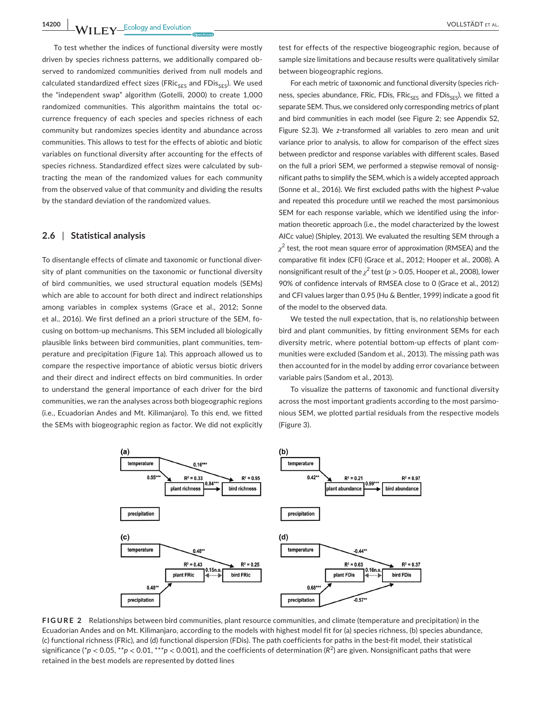**14200 WII FY** Ecology and Evolution **and Example 2018** and Evolution **and Evolution** *PHOPER ET AL.* 

To test whether the indices of functional diversity were mostly driven by species richness patterns, we additionally compared observed to randomized communities derived from null models and calculated standardized effect sizes (FRic $_{\text{SFS}}$  and FDis $_{\text{SFS}}$ ). We used the "independent swap" algorithm (Gotelli, 2000) to create 1,000 randomized communities. This algorithm maintains the total occurrence frequency of each species and species richness of each community but randomizes species identity and abundance across communities. This allows to test for the effects of abiotic and biotic variables on functional diversity after accounting for the effects of species richness. Standardized effect sizes were calculated by subtracting the mean of the randomized values for each community from the observed value of that community and dividing the results by the standard deviation of the randomized values.

# **2.6** | **Statistical analysis**

To disentangle effects of climate and taxonomic or functional diversity of plant communities on the taxonomic or functional diversity of bird communities, we used structural equation models (SEMs) which are able to account for both direct and indirect relationships among variables in complex systems (Grace et al., 2012; Sonne et al., 2016). We first defined an a priori structure of the SEM, focusing on bottom-up mechanisms. This SEM included all biologically plausible links between bird communities, plant communities, temperature and precipitation (Figure 1a). This approach allowed us to compare the respective importance of abiotic versus biotic drivers and their direct and indirect effects on bird communities. In order to understand the general importance of each driver for the bird communities, we ran the analyses across both biogeographic regions (i.e., Ecuadorian Andes and Mt. Kilimanjaro). To this end, we fitted the SEMs with biogeographic region as factor. We did not explicitly

test for effects of the respective biogeographic region, because of sample size limitations and because results were qualitatively similar between biogeographic regions.

For each metric of taxonomic and functional diversity (species richness, species abundance, FRic, FDis, FRic<sub>sEs</sub> and FDis<sub>sEs</sub>), we fitted a separate SEM. Thus, we considered only corresponding metrics of plant and bird communities in each model (see Figure 2; see Appendix S2, Figure S2.3). We *z*-transformed all variables to zero mean and unit variance prior to analysis, to allow for comparison of the effect sizes between predictor and response variables with different scales. Based on the full a priori SEM, we performed a stepwise removal of nonsignificant paths to simplify the SEM, which is a widely accepted approach (Sonne et al., 2016). We first excluded paths with the highest *P*-value and repeated this procedure until we reached the most parsimonious SEM for each response variable, which we identified using the information theoretic approach (i.e., the model characterized by the lowest AICc value) (Shipley, 2013). We evaluated the resulting SEM through a  $\chi^2$  test, the root mean square error of approximation (RMSEA) and the comparative fit index (CFI) (Grace et al., 2012; Hooper et al., 2008). A nonsignificant result of the  $\chi^2$  test ( $p > 0.05$ , Hooper et al., 2008), lower 90% of confidence intervals of RMSEA close to 0 (Grace et al., 2012) and CFI values larger than 0.95 (Hu & Bentler, 1999) indicate a good fit of the model to the observed data.

We tested the null expectation, that is, no relationship between bird and plant communities, by fitting environment SEMs for each diversity metric, where potential bottom-up effects of plant communities were excluded (Sandom et al., 2013). The missing path was then accounted for in the model by adding error covariance between variable pairs (Sandom et al., 2013).

To visualize the patterns of taxonomic and functional diversity across the most important gradients according to the most parsimonious SEM, we plotted partial residuals from the respective models (Figure 3).



**FIGURE 2** Relationships between bird communities, plant resource communities, and climate (temperature and precipitation) in the Ecuadorian Andes and on Mt. Kilimanjaro, according to the models with highest model fit for (a) species richness, (b) species abundance, (c) functional richness (FRic), and (d) functional dispersion (FDis). The path coefficients for paths in the best-fit model, their statistical significance (\* $p < 0.05$ , \*\* $p < 0.01$ , \*\*\* $p < 0.001$ ), and the coefficients of determination ( $R^2$ ) are given. Nonsignificant paths that were retained in the best models are represented by dotted lines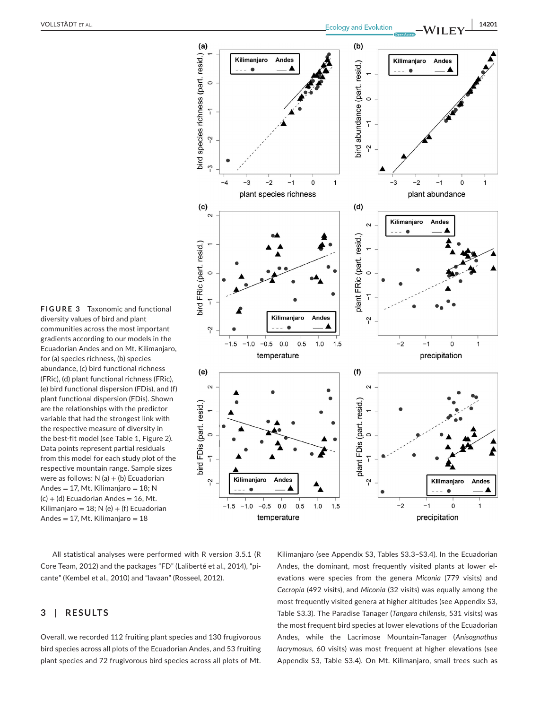**FIGURE 3** Taxonomic and functional diversity values of bird and plant communities across the most important gradients according to our models in the Ecuadorian Andes and on Mt. Kilimanjaro, for (a) species richness, (b) species abundance, (c) bird functional richness (FRic), (d) plant functional richness (FRic), (e) bird functional dispersion (FDis), and (f) plant functional dispersion (FDis). Shown are the relationships with the predictor variable that had the strongest link with the respective measure of diversity in the best-fit model (see Table 1, Figure 2). Data points represent partial residuals from this model for each study plot of the respective mountain range. Sample sizes were as follows:  $N(a) + (b)$  Ecuadorian Andes = 17, Mt. Kilimanjaro =  $18$ ; N  $(c) + (d)$  Ecuadorian Andes = 16, Mt. Kilimanjaro = 18; N (e) + (f) Ecuadorian Andes =  $17$ , Mt. Kilimanjaro =  $18$ 



All statistical analyses were performed with R version 3.5.1 (R Core Team, 2012) and the packages "FD" (Laliberté et al., 2014), "picante" (Kembel et al., 2010) and "lavaan" (Rosseel, 2012).

# **3** | **RESULTS**

Overall, we recorded 112 fruiting plant species and 130 frugivorous bird species across all plots of the Ecuadorian Andes, and 53 fruiting plant species and 72 frugivorous bird species across all plots of Mt. Kilimanjaro (see Appendix S3, Tables S3.3–S3.4). In the Ecuadorian Andes, the dominant, most frequently visited plants at lower elevations were species from the genera *Miconia* (779 visits) and *Cecropia* (492 visits), and *Miconia* (32 visits) was equally among the most frequently visited genera at higher altitudes (see Appendix S3, Table S3.3). The Paradise Tanager (*Tangara chilensis*, 531 visits) was the most frequent bird species at lower elevations of the Ecuadorian Andes, while the Lacrimose Mountain-Tanager (*Anisognathus lacrymosus*, 60 visits) was most frequent at higher elevations (see Appendix S3, Table S3.4). On Mt. Kilimanjaro, small trees such as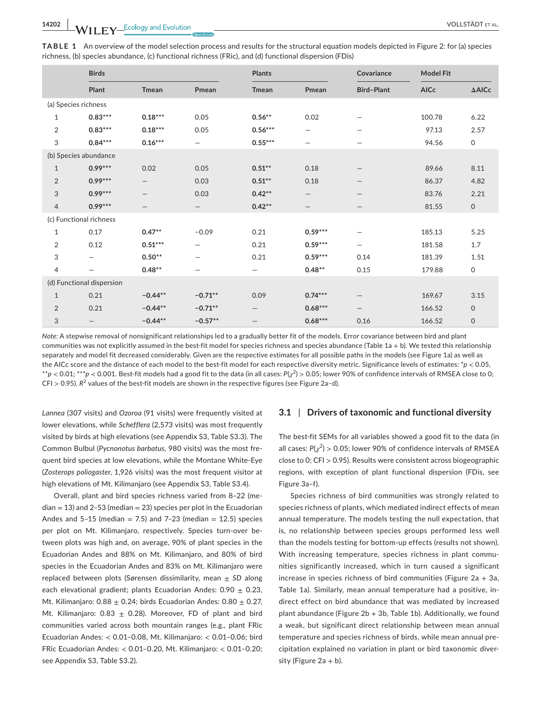| TABLE 1 An overview of the model selection process and results for the structural equation models depicted in Figure 2: for (a) species |
|-----------------------------------------------------------------------------------------------------------------------------------------|
| richness, (b) species abundance, (c) functional richness (FRic), and (d) functional dispersion (FDis)                                   |

|                           | <b>Birds</b> |           |                          | <b>Plants</b> |                   | Covariance               | <b>Model Fit</b> |              |  |  |
|---------------------------|--------------|-----------|--------------------------|---------------|-------------------|--------------------------|------------------|--------------|--|--|
|                           | Plant        | Tmean     | Pmean                    | Tmean         | Pmean             | <b>Bird-Plant</b>        | <b>AICc</b>      | <b>AAICc</b> |  |  |
| (a) Species richness      |              |           |                          |               |                   |                          |                  |              |  |  |
| 1                         | $0.83***$    | $0.18***$ | 0.05                     | $0.56***$     | 0.02              |                          | 100.78           | 6.22         |  |  |
| $\overline{2}$            | $0.83***$    | $0.18***$ | 0.05                     | $0.56***$     | -                 | -                        | 97.13            | 2.57         |  |  |
| 3                         | $0.84***$    | $0.16***$ | $\overline{\phantom{0}}$ | $0.55***$     | -                 | -                        | 94.56            | $\mathsf{O}$ |  |  |
| (b) Species abundance     |              |           |                          |               |                   |                          |                  |              |  |  |
| $\mathbf{1}$              | $0.99***$    | 0.02      | 0.05                     | $0.51***$     | 0.18              | —                        | 89.66            | 8.11         |  |  |
| $\overline{2}$            | $0.99***$    | —         | 0.03                     | $0.51***$     | 0.18              | —                        | 86.37            | 4.82         |  |  |
| $\sqrt{3}$                | $0.99***$    |           | 0.03                     | $0.42***$     | $\qquad \qquad -$ | —                        | 83.76            | 2.21         |  |  |
| $\overline{4}$            | $0.99***$    | —         | —                        | $0.42***$     | $\qquad \qquad -$ | —                        | 81.55            | $\mathsf O$  |  |  |
| (c) Functional richness   |              |           |                          |               |                   |                          |                  |              |  |  |
| 1                         | 0.17         | $0.47**$  | $-0.09$                  | 0.21          | $0.59***$         | -                        | 185.13           | 5.25         |  |  |
| $\overline{2}$            | 0.12         | $0.51***$ | -                        | 0.21          | $0.59***$         | $\overline{\phantom{0}}$ | 181.58           | 1.7          |  |  |
| 3                         | -            | $0.50**$  | -                        | 0.21          | $0.59***$         | 0.14                     | 181.39           | 1.51         |  |  |
| 4                         | -            | $0.48**$  |                          |               | $0.48**$          | 0.15                     | 179.88           | $\mathsf{O}$ |  |  |
| (d) Functional dispersion |              |           |                          |               |                   |                          |                  |              |  |  |
| $\mathbf{1}$              | 0.21         | $-0.44**$ | $-0.71**$                | 0.09          | $0.74***$         | —                        | 169.67           | 3.15         |  |  |
| $\overline{2}$            | 0.21         | $-0.44**$ | $-0.71**$                | —             | $0.68***$         | —                        | 166.52           | $\mathbf{0}$ |  |  |
| 3                         | —            | $-0.44**$ | $-0.57**$                |               | $0.68***$         | 0.16                     | 166.52           | 0            |  |  |

*Note:* A stepwise removal of nonsignificant relationships led to a gradually better fit of the models. Error covariance between bird and plant communities was not explicitly assumed in the best-fit model for species richness and species abundance (Table 1a + b). We tested this relationship separately and model fit decreased considerably. Given are the respective estimates for all possible paths in the models (see Figure 1a) as well as the AICc score and the distance of each model to the best-fit model for each respective diversity metric. Significance levels of estimates: \**p* < 0.05,  $^{*}$ *p* < 0.01;  $^{***}$ *p* < 0.001. Best-fit models had a good fit to the data (in all cases:  $P(\chi^2)$  > 0.05; lower 90% of confidence intervals of RMSEA close to 0;  $\mathsf{CFI} > 0.95$ ).  $\mathsf{R}^2$  values of the best-fit models are shown in the respective figures (see Figure 2a–d).

*Lannea* (307 visits) and *Ozoroa* (91 visits) were frequently visited at lower elevations, while *Schefflera* (2,573 visits) was most frequently visited by birds at high elevations (see Appendix S3, Table S3.3). The Common Bulbul (*Pycnonotus barbatus,* 980 visits) was the most frequent bird species at low elevations, while the Montane White-Eye (*Zosterops poliogaster*, 1,926 visits) was the most frequent visitor at high elevations of Mt. Kilimanjaro (see Appendix S3, Table S3.4).

Overall, plant and bird species richness varied from 8–22 (me $dian = 13$ ) and 2-53 (median = 23) species per plot in the Ecuadorian Andes and  $5-15$  (median = 7.5) and  $7-23$  (median = 12.5) species per plot on Mt. Kilimanjaro, respectively. Species turn-over between plots was high and, on average, 90% of plant species in the Ecuadorian Andes and 88% on Mt. Kilimanjaro, and 80% of bird species in the Ecuadorian Andes and 83% on Mt. Kilimanjaro were replaced between plots (Sørensen dissimilarity, mean ± *SD* along each elevational gradient; plants Ecuadorian Andes:  $0.90 \pm 0.23$ , Mt. Kilimanjaro: 0.88  $\pm$  0.24; birds Ecuadorian Andes: 0.80  $\pm$  0.27, Mt. Kilimanjaro: 0.83  $\pm$  0.28). Moreover, FD of plant and bird communities varied across both mountain ranges (e.g., plant FRic Ecuadorian Andes: < 0.01–0.08, Mt. Kilimanjaro: < 0.01–0.06; bird FRic Ecuadorian Andes: < 0.01–0.20, Mt. Kilimanjaro: < 0.01–0.20; see Appendix S3, Table S3.2).

## **3.1** | **Drivers of taxonomic and functional diversity**

The best-fit SEMs for all variables showed a good fit to the data (in all cases:  $P(\chi^2) > 0.05$ ; lower 90% of confidence intervals of RMSEA close to 0; CFI > 0.95). Results were consistent across biogeographic regions, with exception of plant functional dispersion (FDis, see Figure 3a–f).

Species richness of bird communities was strongly related to species richness of plants, which mediated indirect effects of mean annual temperature. The models testing the null expectation, that is, no relationship between species groups performed less well than the models testing for bottom-up effects (results not shown). With increasing temperature, species richness in plant communities significantly increased, which in turn caused a significant increase in species richness of bird communities (Figure 2a  $+$  3a, Table 1a). Similarly, mean annual temperature had a positive, indirect effect on bird abundance that was mediated by increased plant abundance (Figure  $2b + 3b$ , Table 1b). Additionally, we found a weak, but significant direct relationship between mean annual temperature and species richness of birds, while mean annual precipitation explained no variation in plant or bird taxonomic diversity (Figure  $2a + b$ ).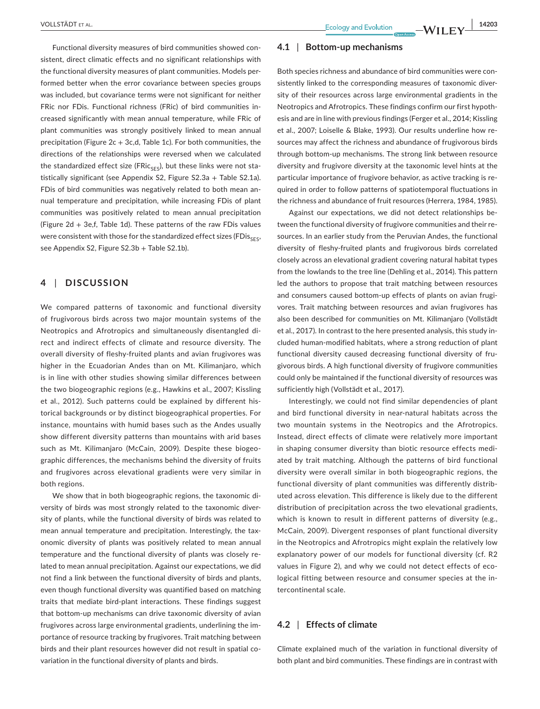Functional diversity measures of bird communities showed consistent, direct climatic effects and no significant relationships with the functional diversity measures of plant communities. Models performed better when the error covariance between species groups was included, but covariance terms were not significant for neither FRic nor FDis. Functional richness (FRic) of bird communities increased significantly with mean annual temperature, while FRic of plant communities was strongly positively linked to mean annual precipitation (Figure 2c  $+$  3c,d, Table 1c). For both communities, the directions of the relationships were reversed when we calculated the standardized effect size (FRic<sub>SES</sub>), but these links were not statistically significant (see Appendix S2, Figure S2.3a + Table S2.1a). FDis of bird communities was negatively related to both mean annual temperature and precipitation, while increasing FDis of plant communities was positively related to mean annual precipitation (Figure 2d + 3e,f, Table 1d). These patterns of the raw FDis values were consistent with those for the standardized effect sizes (FDis $_{SFS}$ , see Appendix S2, Figure S2.3b + Table S2.1b).

# **4** | **DISCUSSION**

We compared patterns of taxonomic and functional diversity of frugivorous birds across two major mountain systems of the Neotropics and Afrotropics and simultaneously disentangled direct and indirect effects of climate and resource diversity. The overall diversity of fleshy-fruited plants and avian frugivores was higher in the Ecuadorian Andes than on Mt. Kilimanjaro, which is in line with other studies showing similar differences between the two biogeographic regions (e.g., Hawkins et al., 2007; Kissling et al., 2012). Such patterns could be explained by different historical backgrounds or by distinct biogeographical properties. For instance, mountains with humid bases such as the Andes usually show different diversity patterns than mountains with arid bases such as Mt. Kilimanjaro (McCain, 2009). Despite these biogeographic differences, the mechanisms behind the diversity of fruits and frugivores across elevational gradients were very similar in both regions.

We show that in both biogeographic regions, the taxonomic diversity of birds was most strongly related to the taxonomic diversity of plants, while the functional diversity of birds was related to mean annual temperature and precipitation. Interestingly, the taxonomic diversity of plants was positively related to mean annual temperature and the functional diversity of plants was closely related to mean annual precipitation. Against our expectations, we did not find a link between the functional diversity of birds and plants, even though functional diversity was quantified based on matching traits that mediate bird-plant interactions. These findings suggest that bottom-up mechanisms can drive taxonomic diversity of avian frugivores across large environmental gradients, underlining the importance of resource tracking by frugivores. Trait matching between birds and their plant resources however did not result in spatial covariation in the functional diversity of plants and birds.

# **4.1** | **Bottom-up mechanisms**

Both species richness and abundance of bird communities were consistently linked to the corresponding measures of taxonomic diversity of their resources across large environmental gradients in the Neotropics and Afrotropics. These findings confirm our first hypothesis and are in line with previous findings (Ferger et al., 2014; Kissling et al., 2007; Loiselle & Blake, 1993). Our results underline how resources may affect the richness and abundance of frugivorous birds through bottom-up mechanisms. The strong link between resource diversity and frugivore diversity at the taxonomic level hints at the particular importance of frugivore behavior, as active tracking is required in order to follow patterns of spatiotemporal fluctuations in the richness and abundance of fruit resources (Herrera, 1984, 1985).

Against our expectations, we did not detect relationships between the functional diversity of frugivore communities and their resources. In an earlier study from the Peruvian Andes, the functional diversity of fleshy-fruited plants and frugivorous birds correlated closely across an elevational gradient covering natural habitat types from the lowlands to the tree line (Dehling et al., 2014). This pattern led the authors to propose that trait matching between resources and consumers caused bottom-up effects of plants on avian frugivores. Trait matching between resources and avian frugivores has also been described for communities on Mt. Kilimanjaro (Vollstädt et al., 2017). In contrast to the here presented analysis, this study included human-modified habitats, where a strong reduction of plant functional diversity caused decreasing functional diversity of frugivorous birds. A high functional diversity of frugivore communities could only be maintained if the functional diversity of resources was sufficiently high (Vollstädt et al., 2017).

Interestingly, we could not find similar dependencies of plant and bird functional diversity in near-natural habitats across the two mountain systems in the Neotropics and the Afrotropics. Instead, direct effects of climate were relatively more important in shaping consumer diversity than biotic resource effects mediated by trait matching. Although the patterns of bird functional diversity were overall similar in both biogeographic regions, the functional diversity of plant communities was differently distributed across elevation. This difference is likely due to the different distribution of precipitation across the two elevational gradients, which is known to result in different patterns of diversity (e.g., McCain, 2009). Divergent responses of plant functional diversity in the Neotropics and Afrotropics might explain the relatively low explanatory power of our models for functional diversity (cf. R2 values in Figure 2), and why we could not detect effects of ecological fitting between resource and consumer species at the intercontinental scale.

# **4.2** | **Effects of climate**

Climate explained much of the variation in functional diversity of both plant and bird communities. These findings are in contrast with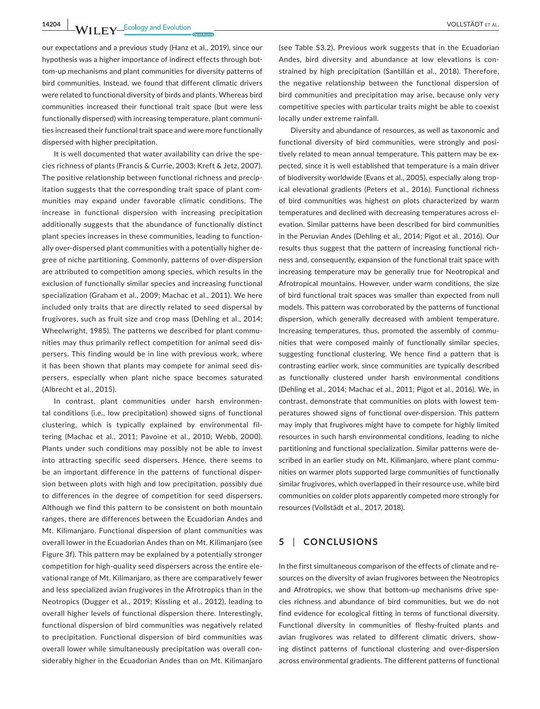**14204 |**  VOLLSTÄDT et al.

our expectations and a previous study (Hanz et al., 2019), since our hypothesis was a higher importance of indirect effects through bottom-up mechanisms and plant communities for diversity patterns of bird communities. Instead, we found that different climatic drivers were related to functional diversity of birds and plants. Whereas bird communities increased their functional trait space (but were less functionally dispersed) with increasing temperature, plant communities increased their functional trait space and were more functionally dispersed with higher precipitation.

It is well documented that water availability can drive the species richness of plants (Francis & Currie, 2003; Kreft & Jetz, 2007). The positive relationship between functional richness and precipitation suggests that the corresponding trait space of plant communities may expand under favorable climatic conditions. The increase in functional dispersion with increasing precipitation additionally suggests that the abundance of functionally distinct plant species increases in these communities, leading to functionally over-dispersed plant communities with a potentially higher degree of niche partitioning. Commonly, patterns of over-dispersion are attributed to competition among species, which results in the exclusion of functionally similar species and increasing functional specialization (Graham et al., 2009; Machac et al., 2011). We here included only traits that are directly related to seed dispersal by frugivores, such as fruit size and crop mass (Dehling et al., 2014; Wheelwright, 1985). The patterns we described for plant communities may thus primarily reflect competition for animal seed dispersers. This finding would be in line with previous work, where it has been shown that plants may compete for animal seed dispersers, especially when plant niche space becomes saturated (Albrecht et al., 2015).

In contrast, plant communities under harsh environmental conditions (i.e., low precipitation) showed signs of functional clustering, which is typically explained by environmental filtering (Machac et al., 2011; Pavoine et al., 2010; Webb, 2000). Plants under such conditions may possibly not be able to invest into attracting specific seed dispersers. Hence, there seems to be an important difference in the patterns of functional dispersion between plots with high and low precipitation, possibly due to differences in the degree of competition for seed dispersers. Although we find this pattern to be consistent on both mountain ranges, there are differences between the Ecuadorian Andes and Mt. Kilimanjaro. Functional dispersion of plant communities was overall lower in the Ecuadorian Andes than on Mt. Kilimanjaro (see Figure 3f). This pattern may be explained by a potentially stronger competition for high-quality seed dispersers across the entire elevational range of Mt. Kilimanjaro, as there are comparatively fewer and less specialized avian frugivores in the Afrotropics than in the Neotropics (Dugger et al., 2019; Kissling et al., 2012), leading to overall higher levels of functional dispersion there. Interestingly, functional dispersion of bird communities was negatively related to precipitation. Functional dispersion of bird communities was overall lower while simultaneously precipitation was overall considerably higher in the Ecuadorian Andes than on Mt. Kilimanjaro

(see Table S3.2). Previous work suggests that in the Ecuadorian Andes, bird diversity and abundance at low elevations is constrained by high precipitation (Santillán et al., 2018). Therefore, the negative relationship between the functional dispersion of bird communities and precipitation may arise, because only very competitive species with particular traits might be able to coexist locally under extreme rainfall.

Diversity and abundance of resources, as well as taxonomic and functional diversity of bird communities, were strongly and positively related to mean annual temperature. This pattern may be expected, since it is well established that temperature is a main driver of biodiversity worldwide (Evans et al., 2005), especially along tropical elevational gradients (Peters et al., 2016). Functional richness of bird communities was highest on plots characterized by warm temperatures and declined with decreasing temperatures across elevation. Similar patterns have been described for bird communities in the Peruvian Andes (Dehling et al., 2014; Pigot et al., 2016). Our results thus suggest that the pattern of increasing functional richness and, consequently, expansion of the functional trait space with increasing temperature may be generally true for Neotropical and Afrotropical mountains. However, under warm conditions, the size of bird functional trait spaces was smaller than expected from null models. This pattern was corroborated by the patterns of functional dispersion, which generally decreased with ambient temperature. Increasing temperatures, thus, promoted the assembly of communities that were composed mainly of functionally similar species, suggesting functional clustering. We hence find a pattern that is contrasting earlier work, since communities are typically described as functionally clustered under harsh environmental conditions (Dehling et al., 2014; Machac et al., 2011; Pigot et al., 2016). We, in contrast, demonstrate that communities on plots with lowest temperatures showed signs of functional over-dispersion. This pattern may imply that frugivores might have to compete for highly limited resources in such harsh environmental conditions, leading to niche partitioning and functional specialization. Similar patterns were described in an earlier study on Mt. Kilimanjaro, where plant communities on warmer plots supported large communities of functionally similar frugivores, which overlapped in their resource use, while bird communities on colder plots apparently competed more strongly for resources (Vollstädt et al., 2017, 2018).

# **5** | **CONCLUSIONS**

In the first simultaneous comparison of the effects of climate and resources on the diversity of avian frugivores between the Neotropics and Afrotropics, we show that bottom-up mechanisms drive species richness and abundance of bird communities, but we do not find evidence for ecological fitting in terms of functional diversity. Functional diversity in communities of fleshy-fruited plants and avian frugivores was related to different climatic drivers, showing distinct patterns of functional clustering and over-dispersion across environmental gradients. The different patterns of functional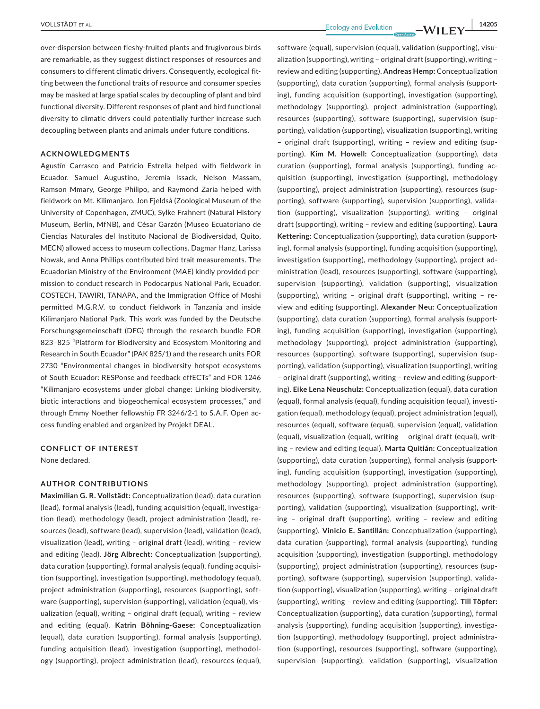over-dispersion between fleshy-fruited plants and frugivorous birds are remarkable, as they suggest distinct responses of resources and consumers to different climatic drivers. Consequently, ecological fitting between the functional traits of resource and consumer species may be masked at large spatial scales by decoupling of plant and bird functional diversity. Different responses of plant and bird functional diversity to climatic drivers could potentially further increase such decoupling between plants and animals under future conditions.

# **ACKNOWLEDGMENTS**

Agustín Carrasco and Patricio Estrella helped with fieldwork in Ecuador. Samuel Augustino, Jeremia Issack, Nelson Massam, Ramson Mmary, George Philipo, and Raymond Zaria helped with fieldwork on Mt. Kilimanjaro. Jon Fjeldså (Zoological Museum of the University of Copenhagen, ZMUC), Sylke Frahnert (Natural History Museum, Berlin, MfNB), and César Garzón (Museo Ecuatoriano de Ciencias Naturales del Instituto Nacional de Biodiversidad, Quito, MECN) allowed access to museum collections. Dagmar Hanz, Larissa Nowak, and Anna Phillips contributed bird trait measurements. The Ecuadorian Ministry of the Environment (MAE) kindly provided permission to conduct research in Podocarpus National Park, Ecuador. COSTECH, TAWIRI, TANAPA, and the Immigration Office of Moshi permitted M.G.R.V. to conduct fieldwork in Tanzania and inside Kilimanjaro National Park. This work was funded by the Deutsche Forschungsgemeinschaft (DFG) through the research bundle FOR 823–825 "Platform for Biodiversity and Ecosystem Monitoring and Research in South Ecuador" (PAK 825/1) and the research units FOR 2730 "Environmental changes in biodiversity hotspot ecosystems of South Ecuador: RESPonse and feedback effECTs" and FOR 1246 "Kilimanjaro ecosystems under global change: Linking biodiversity, biotic interactions and biogeochemical ecosystem processes," and through Emmy Noether fellowship FR 3246/2-1 to S.A.F. Open access funding enabled and organized by Projekt DEAL.

## **CONFLICT OF INTEREST**

None declared.

# **AUTHOR CONTRIBUTIONS**

**Maximilian G. R. Vollstädt:** Conceptualization (lead), data curation (lead), formal analysis (lead), funding acquisition (equal), investigation (lead), methodology (lead), project administration (lead), resources (lead), software (lead), supervision (lead), validation (lead), visualization (lead), writing – original draft (lead), writing – review and editing (lead). **Jörg Albrecht:** Conceptualization (supporting), data curation (supporting), formal analysis (equal), funding acquisition (supporting), investigation (supporting), methodology (equal), project administration (supporting), resources (supporting), software (supporting), supervision (supporting), validation (equal), visualization (equal), writing – original draft (equal), writing – review and editing (equal). **Katrin Böhning-Gaese:** Conceptualization (equal), data curation (supporting), formal analysis (supporting), funding acquisition (lead), investigation (supporting), methodology (supporting), project administration (lead), resources (equal), software (equal), supervision (equal), validation (supporting), visualization (supporting), writing – original draft (supporting), writing – review and editing (supporting). **Andreas Hemp:** Conceptualization (supporting), data curation (supporting), formal analysis (supporting), funding acquisition (supporting), investigation (supporting), methodology (supporting), project administration (supporting), resources (supporting), software (supporting), supervision (supporting), validation (supporting), visualization (supporting), writing – original draft (supporting), writing – review and editing (supporting). **Kim M. Howell:** Conceptualization (supporting), data curation (supporting), formal analysis (supporting), funding acquisition (supporting), investigation (supporting), methodology (supporting), project administration (supporting), resources (supporting), software (supporting), supervision (supporting), validation (supporting), visualization (supporting), writing – original draft (supporting), writing – review and editing (supporting). **Laura Kettering:** Conceptualization (supporting), data curation (supporting), formal analysis (supporting), funding acquisition (supporting), investigation (supporting), methodology (supporting), project administration (lead), resources (supporting), software (supporting), supervision (supporting), validation (supporting), visualization (supporting), writing – original draft (supporting), writing – review and editing (supporting). **Alexander Neu:** Conceptualization (supporting), data curation (supporting), formal analysis (supporting), funding acquisition (supporting), investigation (supporting), methodology (supporting), project administration (supporting), resources (supporting), software (supporting), supervision (supporting), validation (supporting), visualization (supporting), writing – original draft (supporting), writing – review and editing (supporting). **Eike Lena Neuschulz:** Conceptualization (equal), data curation (equal), formal analysis (equal), funding acquisition (equal), investigation (equal), methodology (equal), project administration (equal), resources (equal), software (equal), supervision (equal), validation (equal), visualization (equal), writing – original draft (equal), writing – review and editing (equal). **Marta Quitián:** Conceptualization (supporting), data curation (supporting), formal analysis (supporting), funding acquisition (supporting), investigation (supporting), methodology (supporting), project administration (supporting), resources (supporting), software (supporting), supervision (supporting), validation (supporting), visualization (supporting), writing – original draft (supporting), writing – review and editing (supporting). **Vinicio E. Santillán:** Conceptualization (supporting), data curation (supporting), formal analysis (supporting), funding acquisition (supporting), investigation (supporting), methodology (supporting), project administration (supporting), resources (supporting), software (supporting), supervision (supporting), validation (supporting), visualization (supporting), writing – original draft (supporting), writing – review and editing (supporting). **Till Töpfer:** Conceptualization (supporting), data curation (supporting), formal analysis (supporting), funding acquisition (supporting), investigation (supporting), methodology (supporting), project administration (supporting), resources (supporting), software (supporting), supervision (supporting), validation (supporting), visualization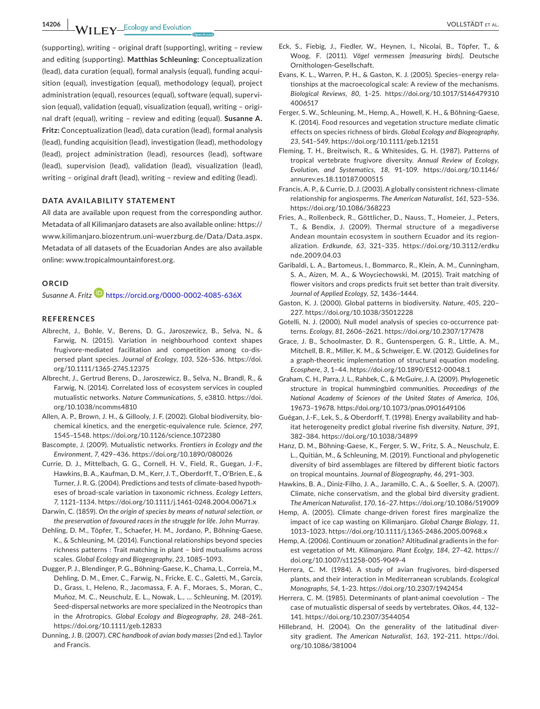**14206 WII FY** Ecology and Evolution **and Example 2018** and Evolution **and Example 2018 WII FY** Ecology and Evolution

(supporting), writing – original draft (supporting), writing – review and editing (supporting). **Matthias Schleuning:** Conceptualization (lead), data curation (equal), formal analysis (equal), funding acquisition (equal), investigation (equal), methodology (equal), project administration (equal), resources (equal), software (equal), supervision (equal), validation (equal), visualization (equal), writing – original draft (equal), writing – review and editing (equal). **Susanne A. Fritz:** Conceptualization (lead), data curation (lead), formal analysis (lead), funding acquisition (lead), investigation (lead), methodology (lead), project administration (lead), resources (lead), software (lead), supervision (lead), validation (lead), visualization (lead), writing – original draft (lead), writing – review and editing (lead).

## **DATA AVAILABILITY STATEMENT**

All data are available upon request from the corresponding author. Metadata of all Kilimanjaro datasets are also available online: [https://](https://www.kilimanjaro.biozentrum.uni-wuerzburg.de/Data/Data.aspx) [www.kilimanjaro.biozentrum.uni-wuerzburg.de/Data/Data.aspx.](https://www.kilimanjaro.biozentrum.uni-wuerzburg.de/Data/Data.aspx) Metadata of all datasets of the Ecuadorian Andes are also available online: [www.tropicalmountainforest.org.](http://www.tropicalmountainforest.org)

## **ORCID**

*Susanne A. Frit[z](https://orcid.org/0000-0002-4085-636X)* <https://orcid.org/0000-0002-4085-636X>

#### **REFERENCES**

- Albrecht, J., Bohle, V., Berens, D. G., Jaroszewicz, B., Selva, N., & Farwig, N. (2015). Variation in neighbourhood context shapes frugivore-mediated facilitation and competition among co-dispersed plant species. *Journal of Ecology*, *103*, 526–536. [https://doi.](https://doi.org/10.1111/1365-2745.12375) [org/10.1111/1365-2745.12375](https://doi.org/10.1111/1365-2745.12375)
- Albrecht, J., Gertrud Berens, D., Jaroszewicz, B., Selva, N., Brandl, R., & Farwig, N. (2014). Correlated loss of ecosystem services in coupled mutualistic networks. *Nature Communications*, *5*, e3810. [https://doi.](https://doi.org/10.1038/ncomms4810) [org/10.1038/ncomms4810](https://doi.org/10.1038/ncomms4810)
- Allen, A. P., Brown, J. H., & Gillooly, J. F. (2002). Global biodiversity, biochemical kinetics, and the energetic-equivalence rule. *Science*, *297*, 1545–1548. <https://doi.org/10.1126/science.1072380>
- Bascompte, J. (2009). Mutualistic networks. *Frontiers in Ecology and the Environment*, *7*, 429–436. <https://doi.org/10.1890/080026>
- Currie, D. J., Mittelbach, G. G., Cornell, H. V., Field, R., Guegan, J.-F., Hawkins, B. A., Kaufman, D. M., Kerr, J. T., Oberdorff, T., O'Brien, E., & Turner, J. R. G. (2004). Predictions and tests of climate-based hypotheses of broad-scale variation in taxonomic richness. *Ecology Letters*, *7*, 1121–1134.<https://doi.org/10.1111/j.1461-0248.2004.00671.x>
- Darwin, C. (1859). *On the origin of species by means of natural selection, or the preservation of favoured races in the struggle for life*. John Murray.
- Dehling, D. M., Töpfer, T., Schaefer, H. M., Jordano, P., Böhning-Gaese, K., & Schleuning, M. (2014). Functional relationships beyond species richness patterns : Trait matching in plant – bird mutualisms across scales. *Global Ecology and Biogeography*, *23*, 1085–1093.

Dugger, P. J., Blendinger, P. G., Böhning-Gaese, K., Chama, L., Correia, M., Dehling, D. M., Emer, C., Farwig, N., Fricke, E. C., Galetti, M., García, D., Grass, I., Heleno, R., Jacomassa, F. A. F., Moraes, S., Moran, C., Muñoz, M. C., Neuschulz, E. L., Nowak, L., … Schleuning, M. (2019). Seed-dispersal networks are more specialized in the Neotropics than in the Afrotropics. *Global Ecology and Biogeography*, *28*, 248–261. <https://doi.org/10.1111/geb.12833>

Dunning, J. B. (2007). *CRC handbook of avian body masses* (2nd ed.). Taylor and Francis.

- Eck, S., Fiebig, J., Fiedler, W., Heynen, I., Nicolai, B., Töpfer, T., & Woog, F. (2011). *Vögel vermessen [measuring birds]*. Deutsche Ornithologen-Gesellschaft.
- Evans, K. L., Warren, P. H., & Gaston, K. J. (2005). Species–energy relationships at the macroecological scale: A review of the mechanisms. *Biological Reviews*, *80*, 1–25. [https://doi.org/10.1017/S146479310](https://doi.org/10.1017/S1464793104006517) [4006517](https://doi.org/10.1017/S1464793104006517)
- Ferger, S. W., Schleuning, M., Hemp, A., Howell, K. H., & Böhning-Gaese, K. (2014). Food resources and vegetation structure mediate climatic effects on species richness of birds. *Global Ecology and Biogeography*, *23*, 541–549. <https://doi.org/10.1111/geb.12151>
- Fleming, T. H., Breitwisch, R., & Whitesides, G. H. (1987). Patterns of tropical vertebrate frugivore diversity. *Annual Review of Ecology, Evolution, and Systematics*, *18*, 91–109. [https://doi.org/10.1146/](https://doi.org/10.1146/annurev.es.18.110187.000515) [annurev.es.18.110187.000515](https://doi.org/10.1146/annurev.es.18.110187.000515)
- Francis, A. P., & Currie, D. J. (2003). A globally consistent richness-climate relationship for angiosperms. *The American Naturalist*, *161*, 523–536. <https://doi.org/10.1086/368223>
- Fries, A., Rollenbeck, R., Göttlicher, D., Nauss, T., Homeier, J., Peters, T., & Bendix, J. (2009). Thermal structure of a megadiverse Andean mountain ecosystem in southern Ecuador and its regionalization. *Erdkunde*, *63*, 321–335. [https://doi.org/10.3112/erdku](https://doi.org/10.3112/erdkunde.2009.04.03) [nde.2009.04.03](https://doi.org/10.3112/erdkunde.2009.04.03)
- Garibaldi, L. A., Bartomeus, I., Bommarco, R., Klein, A. M., Cunningham, S. A., Aizen, M. A., & Woyciechowski, M. (2015). Trait matching of flower visitors and crops predicts fruit set better than trait diversity. *Journal of Applied Ecology*, *52*, 1436–1444.
- Gaston, K. J. (2000). Global patterns in biodiversity. *Nature*, *405*, 220– 227. <https://doi.org/10.1038/35012228>
- Gotelli, N. J. (2000). Null model analysis of species co-occurrence patterns. *Ecology*, *81*, 2606–2621. <https://doi.org/10.2307/177478>
- Grace, J. B., Schoolmaster, D. R., Guntenspergen, G. R., Little, A. M., Mitchell, B. R., Miller, K. M., & Schweiger, E. W. (2012). Guidelines for a graph-theoretic implementation of structural equation modeling. *Ecosphere*, *3*, 1–44.<https://doi.org/10.1890/ES12-00048.1>
- Graham, C. H., Parra, J. L., Rahbek, C., & McGuire, J. A. (2009). Phylogenetic structure in tropical hummingbird communities. *Proceedings of the National Academy of Sciences of the United States of America*, *106*, 19673–19678.<https://doi.org/10.1073/pnas.0901649106>
- Guégan, J.-F., Lek, S., & Oberdorff, T. (1998). Energy availability and habitat heterogeneity predict global riverine fish diversity. *Nature*, *391*, 382–384. <https://doi.org/10.1038/34899>
- Hanz, D. M., Böhning-Gaese, K., Ferger, S. W., Fritz, S. A., Neuschulz, E. L., Quitián, M., & Schleuning, M. (2019). Functional and phylogenetic diversity of bird assemblages are filtered by different biotic factors on tropical mountains. *Journal of Biogeography*, *46*, 291–303.
- Hawkins, B. A., Diniz-Filho, J. A., Jaramillo, C. A., & Soeller, S. A. (2007). Climate, niche conservatism, and the global bird diversity gradient. *The American Naturalist*, *170*, 16–27.<https://doi.org/10.1086/519009>
- Hemp, A. (2005). Climate change-driven forest fires marginalize the impact of ice cap wasting on Kilimanjaro. *Global Change Biology*, *11*, 1013–1023. <https://doi.org/10.1111/j.1365-2486.2005.00968.x>
- Hemp, A. (2006). Continuum or zonation? Altitudinal gradients in the forest vegetation of Mt. *Kilimanjaro. Plant Ecolgy*, *184*, 27–42. [https://](https://doi.org/10.1007/s11258-005-9049-4) [doi.org/10.1007/s11258-005-9049-4](https://doi.org/10.1007/s11258-005-9049-4)
- Herrera, C. M. (1984). A study of avian frugivores, bird-dispersed plants, and their interaction in Mediterranean scrublands. *Ecological Monographs*, *54*, 1–23. <https://doi.org/10.2307/1942454>
- Herrera, C. M. (1985). Determinants of plant-animal coevolution The case of mutualistic dispersal of seeds by vertebrates. *Oikos*, *44*, 132– 141. <https://doi.org/10.2307/3544054>
- Hillebrand, H. (2004). On the generality of the latitudinal diversity gradient. *The American Naturalist*, *163*, 192–211. [https://doi.](https://doi.org/10.1086/381004) [org/10.1086/381004](https://doi.org/10.1086/381004)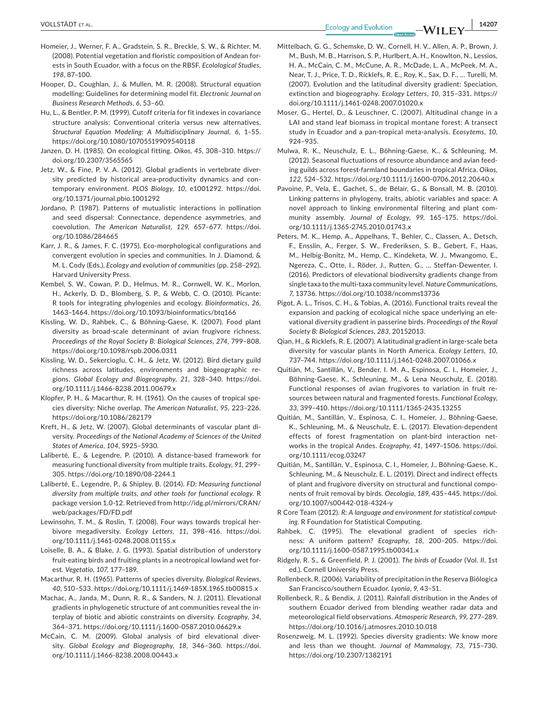- Homeier, J., Werner, F. A., Gradstein, S. R., Breckle, S. W., & Richter, M. (2008). Potential vegetation and floristic composition of Andean forests in South Ecuador, with a focus on the RBSF. *Ecolological Studies*, *198*, 87–100.
- Hooper, D., Coughlan, J., & Mullen, M. R. (2008). Structural equation modelling: Guidelines for determining model fit. *Electronic Journal on Business Research Methods*, *6*, 53–60.
- Hu, L., & Bentler, P. M. (1999). Cutoff criteria for fit indexes in covariance structure analysis: Conventional criteria versus new alternatives. *Structural Equation Modeling: A Multidisciplinary Journal*, *6*, 1–55. <https://doi.org/10.1080/10705519909540118>
- Janzen, D. H. (1985). On ecological fitting. *Oikos*, *45*, 308–310. [https://](https://doi.org/10.2307/3565565) [doi.org/10.2307/3565565](https://doi.org/10.2307/3565565)
- Jetz, W., & Fine, P. V. A. (2012). Global gradients in vertebrate diversity predicted by historical area-productivity dynamics and contemporary environment. *PLOS Biology*, *10*, e1001292. [https://doi.](https://doi.org/10.1371/journal.pbio.1001292) [org/10.1371/journal.pbio.1001292](https://doi.org/10.1371/journal.pbio.1001292)
- Jordano, P. (1987). Patterns of mutualistic interactions in pollination and seed dispersal: Connectance, dependence asymmetries, and coevolution. *The American Naturalist*, *129*, 657–677. [https://doi.](https://doi.org/10.1086/284665) [org/10.1086/284665](https://doi.org/10.1086/284665)
- Karr, J. R., & James, F. C. (1975). Eco-morphological configurations and convergent evolution in species and communities. In J. Diamond, & M. L. Cody (Eds.), *Ecology and evolution of communities* (pp. 258–292). Harvard University Press.
- Kembel, S. W., Cowan, P. D., Helmus, M. R., Cornwell, W. K., Morlon, H., Ackerly, D. D., Blomberg, S. P., & Webb, C. O. (2010). Picante: R tools for integrating phylogenies and ecology. *Bioinformatics*, *26*, 1463–1464.<https://doi.org/10.1093/bioinformatics/btq166>
- Kissling, W. D., Rahbek, C., & Böhning-Gaese, K. (2007). Food plant diversity as broad-scale determinant of avian frugivore richness. *Proceedings of the Royal Society B: Biological Sciences*, *274*, 799–808. <https://doi.org/10.1098/rspb.2006.0311>
- Kissling, W. D., Sekercioglu, C. H., & Jetz, W. (2012). Bird dietary guild richness across latitudes, environments and biogeographic regions. *Global Ecology and Biogeography*, *21*, 328–340. [https://doi.](https://doi.org/10.1111/j.1466-8238.2011.00679.x) [org/10.1111/j.1466-8238.2011.00679.x](https://doi.org/10.1111/j.1466-8238.2011.00679.x)
- Klopfer, P. H., & Macarthur, R. H. (1961). On the causes of tropical species diversity: Niche overlap. *The American Naturalist*, *95*, 223–226. <https://doi.org/10.1086/282179>
- Kreft, H., & Jetz, W. (2007). Global determinants of vascular plant diversity. *Proceedings of the National Academy of Sciences of the United States of America*, *104*, 5925–5930.
- Laliberté, E., & Legendre, P. (2010). A distance-based framework for measuring functional diversity from multiple traits. *Ecology*, *91*, 299– 305. <https://doi.org/10.1890/08-2244.1>
- Laliberté, E., Legendre, P., & Shipley, B. (2014). *FD: Measuring functional diversity from multiple traits, and other tools for functional ecology*. R package version 1.0-12. Retrieved from [http://idg.pl/mirrors/CRAN/](http://idg.pl/mirrors/CRAN/web/packages/FD/FD.pdf) [web/packages/FD/FD.pdf](http://idg.pl/mirrors/CRAN/web/packages/FD/FD.pdf)
- Lewinsohn, T. M., & Roslin, T. (2008). Four ways towards tropical herbivore megadiversity. *Ecology Letters*, *11*, 398–416. [https://doi.](https://doi.org/10.1111/j.1461-0248.2008.01155.x) [org/10.1111/j.1461-0248.2008.01155.x](https://doi.org/10.1111/j.1461-0248.2008.01155.x)
- Loiselle, B. A., & Blake, J. G. (1993). Spatial distribution of understory fruit-eating birds and fruiting plants in a neotropical lowland wet forest. *Vegetatio*, *107*, 177–189.
- Macarthur, R. H. (1965). Patterns of species diversity. *Biological Reviews*, *40*, 510–533.<https://doi.org/10.1111/j.1469-185X.1965.tb00815.x>
- Machac, A., Janda, M., Dunn, R. R., & Sanders, N. J. (2011). Elevational gradients in phylogenetic structure of ant communities reveal the interplay of biotic and abiotic constraints on diversity. *Ecography*, *34*, 364–371.<https://doi.org/10.1111/j.1600-0587.2010.06629.x>
- McCain, C. M. (2009). Global analysis of bird elevational diversity. *Global Ecology and Biogeography*, *18*, 346–360. [https://doi.](https://doi.org/10.1111/j.1466-8238.2008.00443.x) [org/10.1111/j.1466-8238.2008.00443.x](https://doi.org/10.1111/j.1466-8238.2008.00443.x)
- Mittelbach, G. G., Schemske, D. W., Cornell, H. V., Allen, A. P., Brown, J. M., Bush, M. B., Harrison, S. P., Hurlbert, A. H., Knowlton, N., Lessios, H. A., McCain, C. M., McCune, A. R., McDade, L. A., McPeek, M. A., Near, T. J., Price, T. D., Ricklefs, R. E., Roy, K., Sax, D. F., … Turelli, M. (2007). Evolution and the latitudinal diversity gradient: Speciation, extinction and biogeography. *Ecology Letters*, *10*, 315–331. [https://](https://doi.org/10.1111/j.1461-0248.2007.01020.x) [doi.org/10.1111/j.1461-0248.2007.01020.x](https://doi.org/10.1111/j.1461-0248.2007.01020.x)
- Moser, G., Hertel, D., & Leuschner, C. (2007). Altitudinal change in a LAI and stand leaf biomass in tropical montane forest: A transect study in Ecuador and a pan-tropical meta-analysis. *Ecosytems*, *10*, 924–935.
- Mulwa, R. K., Neuschulz, E. L., Böhning-Gaese, K., & Schleuning, M. (2012). Seasonal fluctuations of resource abundance and avian feeding guilds across forest-farmland boundaries in tropical Africa. *Oikos*, *122*, 524–532.<https://doi.org/10.1111/j.1600-0706.2012.20640.x>
- Pavoine, P., Vela, E., Gachet, S., de Bélair, G., & Bonsall, M. B. (2010). Linking patterns in phylogeny, traits, abiotic variables and space: A novel approach to linking environmental filtering and plant community assembly. *Journal of Ecology*, *99*, 165–175. [https://doi.](https://doi.org/10.1111/j.1365-2745.2010.01743.x) [org/10.1111/j.1365-2745.2010.01743.x](https://doi.org/10.1111/j.1365-2745.2010.01743.x)
- Peters, M. K., Hemp, A., Appelhans, T., Behler, C., Classen, A., Detsch, F., Ensslin, A., Ferger, S. W., Frederiksen, S. B., Gebert, F., Haas, M., Helbig-Bonitz, M., Hemp, C., Kindeketa, W. J., Mwangomo, E., Ngereza, C., Otte, I., Röder, J., Rutten, G., … Steffan-Dewenter, I. (2016). Predictors of elevational biodiversity gradients change from single taxa to the multi-taxa community level. *Nature Communications*, *7*, 13736. <https://doi.org/10.1038/ncomms13736>
- Pigot, A. L., Trisos, C. H., & Tobias, A. (2016). Functional traits reveal the expansion and packing of ecological niche space underlying an elevational diversity gradient in passerine birds. *Proceedings of the Royal Society B: Biological Sciences*, *283*, 20152013.
- Qian, H., & Ricklefs, R. E. (2007). A latitudinal gradient in large-scale beta diversity for vascular plants in North America. *Ecology Letters*, *10*, 737–744. <https://doi.org/10.1111/j.1461-0248.2007.01066.x>
- Quitián, M., Santillán, V., Bender, I. M. A., Espinosa, C. I., Homeier, J., Böhning-Gaese, K., Schleuning, M., & Lena Neuschulz, E. (2018). Functional responses of avian frugivores to variation in fruit resources between natural and fragmented forests. *Functional Ecology*, *33*, 399–410.<https://doi.org/10.1111/1365-2435.13255>
- Quitián, M., Santillán, V., Espinosa, C. I., Homeier, J., Böhning-Gaese, K., Schleuning, M., & Neuschulz, E. L. (2017). Elevation-dependent effects of forest fragmentation on plant-bird interaction networks in the tropical Andes. *Ecography*, *41*, 1497–1506. [https://doi.](https://doi.org/10.1111/ecog.03247) [org/10.1111/ecog.03247](https://doi.org/10.1111/ecog.03247)
- Quitián, M., Santillán, V., Espinosa, C. I., Homeier, J., Böhning-Gaese, K., Schleuning, M., & Neuschulz, E. L. (2019). Direct and indirect effects of plant and frugivore diversity on structural and functional components of fruit removal by birds. *Oecologia*, *189*, 435–445. [https://doi.](https://doi.org/10.1007/s00442-018-4324-y) [org/10.1007/s00442-018-4324-y](https://doi.org/10.1007/s00442-018-4324-y)
- R Core Team (2012). *R: A language and environment for statistical computing*. R Foundation for Statistical Computing.
- Rahbek, C. (1995). The elevational gradient of species richness: A uniform pattern? *Ecography*, *18*, 200–205. [https://doi.](https://doi.org/10.1111/j.1600-0587.1995.tb00341.x) [org/10.1111/j.1600-0587.1995.tb00341.x](https://doi.org/10.1111/j.1600-0587.1995.tb00341.x)
- Ridgely, R. S., & Greenfield, P. J. (2001). *The birds of Ecuador* (Vol. *II*, 1st ed.). Cornell University Press.
- Rollenbeck, R. (2006). Variability of precipitation in the Reserva Biólogica San Francisco/southern Ecuador. *Lyonia*, *9*, 43–51.
- Rollenbeck, R., & Bendix, J. (2011). Rainfall distribution in the Andes of southern Ecuador derived from blending weather radar data and meteorological field observations. *Atmosperic Research*, *99*, 277–289. <https://doi.org/10.1016/j.atmosres.2010.10.018>
- Rosenzweig, M. L. (1992). Species diversity gradients: We know more and less than we thought. *Journal of Mammalogy*, *73*, 715–730. <https://doi.org/10.2307/1382191>